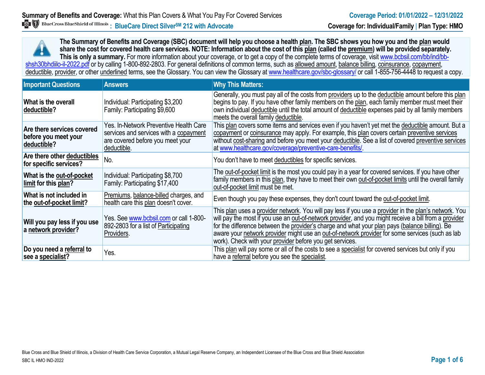**The Summary of Benefits and Coverage (SBC) document will help you choose a health plan. The SBC shows you how you and the plan would share the cost for covered health care services. NOTE: Information about the cost of this plan (called the premium) will be provided separately.** This is only a summary. For more information about your coverage, or to get a copy of the complete terms of coverage, visit www.bcbsil.com/bb/ind/bbshsh30bhdiilo-il-2022.pdf or by calling 1-800-892-2803. For general definitions of common terms, such as allowed amount, balance billing, coinsurance, copayment, deductible, provider, or other underlined terms, see the Glossary. You can view the Glossary a[t www.healthcare.gov/sbc-glossary/](http://www.healthcare.gov/sbc-glossary/) or call 1-855-756-4448 to request a copy.

| <b>Important Questions</b>                                        | <b>Answers</b>                                                                                                                                                                                                                                                                                                                                                                                                                                                                                               | <b>Why This Matters:</b>                                                                                                                                                                                                                                                                                                                                                                                                                                                        |
|-------------------------------------------------------------------|--------------------------------------------------------------------------------------------------------------------------------------------------------------------------------------------------------------------------------------------------------------------------------------------------------------------------------------------------------------------------------------------------------------------------------------------------------------------------------------------------------------|---------------------------------------------------------------------------------------------------------------------------------------------------------------------------------------------------------------------------------------------------------------------------------------------------------------------------------------------------------------------------------------------------------------------------------------------------------------------------------|
| What is the overall<br>deductible?                                | Individual: Participating \$3,200<br>Family: Participating \$9,600                                                                                                                                                                                                                                                                                                                                                                                                                                           | Generally, you must pay all of the costs from providers up to the deductible amount before this plan<br>begins to pay. If you have other family members on the plan, each family member must meet their<br>own individual deductible until the total amount of deductible expenses paid by all family members<br>meets the overall family deductible.                                                                                                                           |
| Are there services covered<br>before you meet your<br>deductible? | This plan covers some items and services even if you haven't yet met the deductible amount. But a<br>Yes. In-Network Preventive Health Care<br>services and services with a copayment<br>copayment or coinsurance may apply. For example, this plan covers certain preventive services<br>without cost-sharing and before you meet your deductible. See a list of covered preventive services<br>are covered before you meet your<br>at www.healthcare.gov/coverage/preventive-care-benefits/<br>deductible. |                                                                                                                                                                                                                                                                                                                                                                                                                                                                                 |
| Are there other deductibles<br>for specific services?             | No.                                                                                                                                                                                                                                                                                                                                                                                                                                                                                                          | You don't have to meet deductibles for specific services.                                                                                                                                                                                                                                                                                                                                                                                                                       |
| What is the out-of-pocket<br>limit for this plan?                 | Individual: Participating \$8,700<br>Family: Participating \$17,400                                                                                                                                                                                                                                                                                                                                                                                                                                          | The out-of-pocket limit is the most you could pay in a year for covered services. If you have other<br>family members in this plan, they have to meet their own out-of-pocket limits until the overall family<br>out-of-pocket limit must be met.                                                                                                                                                                                                                               |
| What is not included in<br>the out-of-pocket limit?               | Premiums, balance-billed charges, and<br>health care this plan doesn't cover.                                                                                                                                                                                                                                                                                                                                                                                                                                | Even though you pay these expenses, they don't count toward the out-of-pocket limit.                                                                                                                                                                                                                                                                                                                                                                                            |
| Will you pay less if you use<br>a network provider?               | Yes. See www.bcbsil.com or call 1-800-<br>892-2803 for a list of Participating<br>Providers.                                                                                                                                                                                                                                                                                                                                                                                                                 | This plan uses a provider network. You will pay less if you use a provider in the plan's network. You<br>will pay the most if you use an out-of-network provider, and you might receive a bill from a provider<br>for the difference between the provider's charge and what your plan pays (balance billing). Be<br>aware your network provider might use an out-of-network provider for some services (such as lab<br>work). Check with your provider before you get services. |
| Do you need a referral to<br>see a specialist?                    | Yes.                                                                                                                                                                                                                                                                                                                                                                                                                                                                                                         | This plan will pay some or all of the costs to see a specialist for covered services but only if you<br>have a referral before you see the specialist.                                                                                                                                                                                                                                                                                                                          |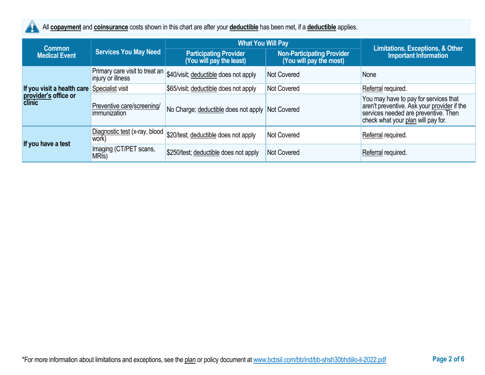

All **copayment** and **coinsurance** costs shown in this chart are after your **deductible** has been met, if a **deductible** applies.

| <b>Common</b>                                                       |                                                     | <b>What You Will Pay</b>                                  | <b>Limitations, Exceptions, &amp; Other</b>                  |                                                                                                                                                                    |  |
|---------------------------------------------------------------------|-----------------------------------------------------|-----------------------------------------------------------|--------------------------------------------------------------|--------------------------------------------------------------------------------------------------------------------------------------------------------------------|--|
| <b>Medical Event</b>                                                | <b>Services You May Need</b>                        | <b>Participating Provider</b><br>(You will pay the least) | <b>Non-Participating Provider</b><br>(You will pay the most) | <b>Important Information</b>                                                                                                                                       |  |
| If you visit a health care<br>provider's office or<br><b>clinic</b> | Primary care visit to treat an<br>injury or illness | \$40/visit; deductible does not apply                     | <b>Not Covered</b>                                           | None                                                                                                                                                               |  |
|                                                                     | Specialist visit                                    | \$65/visit; deductible does not apply                     | <b>Not Covered</b>                                           | Referral required.                                                                                                                                                 |  |
|                                                                     | Preventive care/screening/<br>immunization          | No Charge; deductible does not apply                      | Not Covered                                                  | You may have to pay for services that<br>aren't preventive. Ask your provider if the<br>services needed are preventive. Then<br>check what your plan will pay for. |  |
| If you have a test                                                  | Diagnostic test (x-ray, blood<br>work)              | \$20/test; deductible does not apply                      | <b>Not Covered</b>                                           | Referral required.                                                                                                                                                 |  |
|                                                                     | Imaging (CT/PET scans,<br>MRI <sub>s</sub> )        | \$250/test; deductible does not apply                     | <b>Not Covered</b>                                           | Referral required.                                                                                                                                                 |  |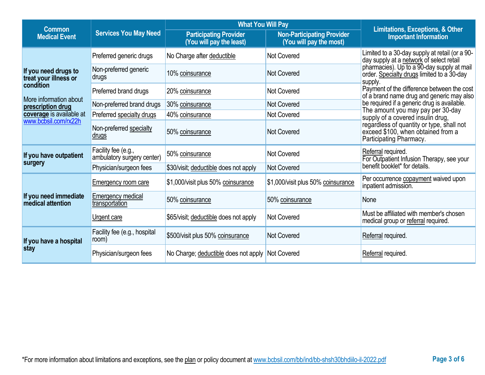| <b>Common</b>                                        |                                                   | <b>What You Will Pay</b>                                  | <b>Limitations, Exceptions, &amp; Other</b>                  |                                                                                                            |  |
|------------------------------------------------------|---------------------------------------------------|-----------------------------------------------------------|--------------------------------------------------------------|------------------------------------------------------------------------------------------------------------|--|
| <b>Services You May Need</b><br><b>Medical Event</b> |                                                   | <b>Participating Provider</b><br>(You will pay the least) | <b>Non-Participating Provider</b><br>(You will pay the most) | <b>Important Information</b>                                                                               |  |
|                                                      | Preferred generic drugs                           | No Charge after deductible                                | <b>Not Covered</b>                                           | Limited to a 30-day supply at retail (or a 90-<br>day supply at a network of select retail                 |  |
| If you need drugs to<br>treat your illness or        | Non-preferred generic<br>drugs                    | 10% coinsurance                                           | <b>Not Covered</b>                                           | pharmacies). Up to a 90-day supply at mail order. Specialty drugs limited to a 30-day<br>supply.           |  |
| condition                                            | Preferred brand drugs                             | 20% coinsurance                                           | <b>Not Covered</b>                                           | Payment of the difference between the cost<br>of a brand name drug and generic may also                    |  |
| More information about<br>prescription drug          | Non-preferred brand drugs                         | 30% coinsurance                                           | <b>Not Covered</b>                                           | be required if a generic drug is available.                                                                |  |
| coverage is available at                             | Preferred specialty drugs                         | 40% coinsurance                                           | <b>Not Covered</b>                                           | The amount you may pay per 30-day<br>supply of a covered insulin drug,                                     |  |
| www.bcbsil.com/rx22h                                 | Non-preferred specialty<br><u>drugs</u>           | 50% coinsurance                                           | <b>Not Covered</b>                                           | regardless of quantity or type, shall not<br>exceed \$100, when obtained from a<br>Participating Pharmacy. |  |
| If you have outpatient                               | Facility fee (e.g.,<br>ambulatory surgery center) | 50% coinsurance                                           | <b>Not Covered</b>                                           | Referral required.<br>For Outpatient Infusion Therapy, see your                                            |  |
| surgery                                              | Physician/surgeon fees                            | \$30/visit; deductible does not apply                     | <b>Not Covered</b>                                           | benefit booklet* for details.                                                                              |  |
|                                                      | <b>Emergency room care</b>                        | \$1,000/visit plus 50% coinsurance                        | \$1,000/visit plus 50% coinsurance                           | Per occurrence copayment waived upon<br>inpatient admission.                                               |  |
| If you need immediate<br>medical attention           | <b>Emergency medical</b><br>transportation        | 50% coinsurance                                           | 50% coinsurance                                              | None                                                                                                       |  |
|                                                      | Urgent care                                       | \$65/visit; deductible does not apply                     | Not Covered                                                  | Must be affiliated with member's chosen<br>medical group or referral required.                             |  |
| If you have a hospital                               | Facility fee (e.g., hospital<br>room)             | \$500/visit plus 50% coinsurance                          | <b>Not Covered</b>                                           | Referral required.                                                                                         |  |
| stay                                                 | Physician/surgeon fees                            | No Charge; deductible does not apply Not Covered          |                                                              | Referral required.                                                                                         |  |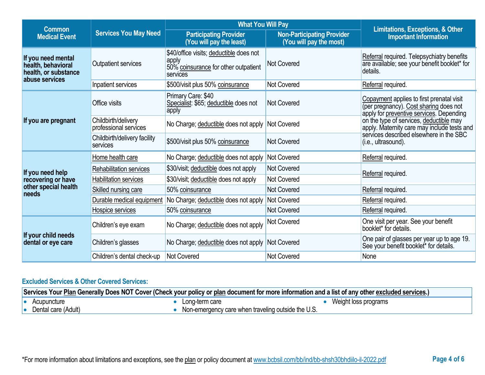| <b>Common</b>                                                                      |                                              | <b>What You Will Pay</b>                                                                                                  |                    |                                                                                                                                 |  |
|------------------------------------------------------------------------------------|----------------------------------------------|---------------------------------------------------------------------------------------------------------------------------|--------------------|---------------------------------------------------------------------------------------------------------------------------------|--|
| <b>Services You May Need</b><br><b>Medical Event</b>                               |                                              | <b>Non-Participating Provider</b><br><b>Participating Provider</b><br>(You will pay the least)<br>(You will pay the most) |                    | Limitations, Exceptions, & Other<br><b>Important Information</b>                                                                |  |
| If you need mental<br>health, behavioral<br>health, or substance<br>abuse services | Outpatient services                          | \$40/office visits; deductible does not<br>apply<br>50% coinsurance for other outpatient<br>services                      | <b>Not Covered</b> | Referral required. Telepsychiatry benefits<br>are available; see your benefit booklet* for<br>details.                          |  |
|                                                                                    | Inpatient services                           | \$500/visit plus 50% coinsurance                                                                                          | Not Covered        | Referral required.                                                                                                              |  |
| If you are pregnant                                                                | Office visits                                | Primary Care: \$40<br>Specialist: \$65; deductible does not<br>apply                                                      | <b>Not Covered</b> | Copayment applies to first prenatal visit<br>(per pregnancy). Cost sharing does not<br>apply for preventive services. Depending |  |
|                                                                                    | Childbirth/delivery<br>professional services | No Charge; deductible does not apply                                                                                      | <b>Not Covered</b> | on the type of services, deductible may<br>apply. Maternity care may include tests and                                          |  |
|                                                                                    | Childbirth/delivery facility<br>services     | \$500/visit plus 50% coinsurance                                                                                          | <b>Not Covered</b> | services described elsewhere in the SBC<br>(i.e., ultrasound).                                                                  |  |
|                                                                                    | Home health care                             | No Charge; deductible does not apply                                                                                      | <b>Not Covered</b> | Referral required.                                                                                                              |  |
| If you need help                                                                   | Rehabilitation services                      | \$30/visit; deductible does not apply                                                                                     | Not Covered        | Referral required.                                                                                                              |  |
| recovering or have                                                                 | Habilitation services                        | \$30/visit; deductible does not apply                                                                                     | <b>Not Covered</b> |                                                                                                                                 |  |
| other special health<br>needs                                                      | Skilled nursing care                         | 50% coinsurance                                                                                                           | <b>Not Covered</b> | Referral required.                                                                                                              |  |
|                                                                                    | Durable medical equipment                    | No Charge; deductible does not apply                                                                                      | Not Covered        | Referral required.                                                                                                              |  |
|                                                                                    | Hospice services                             | 50% coinsurance                                                                                                           | <b>Not Covered</b> | Referral required.                                                                                                              |  |
| If your child needs<br>dental or eye care                                          | Children's eye exam                          | No Charge; deductible does not apply                                                                                      | <b>Not Covered</b> | One visit per year. See your benefit<br>booklet* for details.                                                                   |  |
|                                                                                    | Children's glasses                           | No Charge; deductible does not apply Not Covered                                                                          |                    | One pair of glasses per year up to age 19.<br>See your benefit booklet* for details.                                            |  |
|                                                                                    | Children's dental check-up                   | Not Covered                                                                                                               | <b>Not Covered</b> | None                                                                                                                            |  |

# **Excluded Services & Other Covered Services:**

| Services Your Plan Generally Does NOT Cover (Check your policy or plan document for more information and a list of any other excluded services.) |                     |  |                                                    |                      |
|--------------------------------------------------------------------------------------------------------------------------------------------------|---------------------|--|----------------------------------------------------|----------------------|
| 10                                                                                                                                               | Acupuncture         |  | Long-term care                                     | Weight loss programs |
|                                                                                                                                                  | Dental care (Adult) |  | Non-emergency care when traveling outside the U.S. |                      |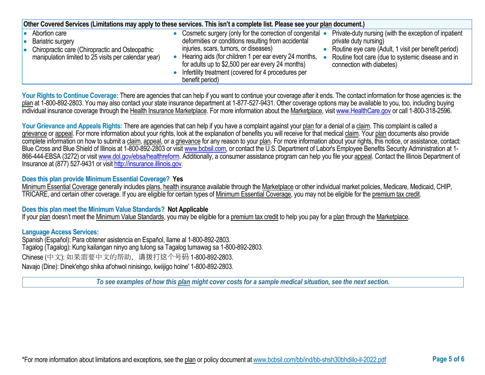| Other Covered Services (Limitations may apply to these services. This isn't a complete list. Please see your plan document.)                              |                                                                                                                                                                                                                                                                                                                                                                                                                                                                                                                                                                                   |  |  |  |
|-----------------------------------------------------------------------------------------------------------------------------------------------------------|-----------------------------------------------------------------------------------------------------------------------------------------------------------------------------------------------------------------------------------------------------------------------------------------------------------------------------------------------------------------------------------------------------------------------------------------------------------------------------------------------------------------------------------------------------------------------------------|--|--|--|
| Abortion care<br>Bariatric surgery<br>10<br>Chiropractic care (Chiropractic and Osteopathic<br>I۰<br>manipulation limited to 25 visits per calendar year) | Private-duty nursing (with the exception of inpatient<br>• Cosmetic surgery (only for the correction of congenital •<br>deformities or conditions resulting from accidental<br>private duty nursing)<br>injuries, scars, tumors, or diseases)<br>Routine eye care (Adult, 1 visit per benefit period)<br>Hearing aids (for children 1 per ear every 24 months,<br>Routine foot care (due to systemic disease and in<br>for adults up to \$2,500 per ear every 24 months)<br>connection with diabetes)<br>• Infertility treatment (covered for 4 procedures per<br>benefit period) |  |  |  |

Your Rights to Continue Coverage: There are agencies that can help if you want to continue your coverage after it ends. The contact information for those agencies is: the plan at 1-800-892-2803. You may also contact your state insurance department at 1-877-527-9431. Other coverage options may be available to you, too, including buying individual insurance coverage through the Health Insurance Marketplace. For more information about the Marketplace, visi[t www.HealthCare.gov](http://www.healthcare.gov/) or call 1-800-318-2596.

Your Grievance and Appeals Rights: There are agencies that can help if you have a complaint against your plan for a denial of a claim. This complaint is called a grievance or appeal. For more information about your rights, look at the explanation of benefits you will receive for that medical claim. Your plan documents also provide complete information on how to submit a claim, appeal, or a grievance for any reason to your plan. For more information about your rights, this notice, or assistance, contact: Blue Cross and Blue Shield of Illinois at 1-800-892-2803 or visit [www.bcbsil.com,](http://www.bcbsil.com/) or contact the U.S. Department of Labor's Employee Benefits Security Administration at 1866-444-EBSA (3272) or visit [www.dol.gov/ebsa/healthreform.](http://www.dol.gov/ebsa/healthreform) Additionally, a consumer assistance program can help you file your appeal. Contact the Illinois Department of Insurance at (877) 527-9431 or visi[t http://insurance.illinois.gov.](http://insurance.illinois.gov/)

### **Does this plan provide Minimum Essential Coverage? Yes**

Minimum Essential Coverage generally includes plans, health insurance available through the Marketplace or other individual market policies, Medicare, Medicaid, CHIP, TRICARE, and certain other coverage. If you are eligible for certain types of Minimum Essential Coverage, you may not be eligible for the premium tax credit.

### **Does this plan meet the Minimum Value Standards? Not Applicable**

If your plan doesn't meet the Minimum Value Standards, you may be eligible for a premium tax credit to help you pay for a plan through the Marketplace.

### **Language Access Services:**

Spanish (Español): Para obtener asistencia en Español, llame al 1-800-892-2803. Tagalog (Tagalog): Kung kailangan ninyo ang tulong sa Tagalog tumawag sa 1-800-892-2803. Chinese (中文): 如果需要中文的帮助,请拨打这个号码 1-800-892-2803. Navajo (Dine): Dinek'ehgo shika at'ohwol ninisingo, kwiijigo holne' 1-800-892-2803.

*To see examples of how this plan might cover costs for a sample medical situation, see the next section.*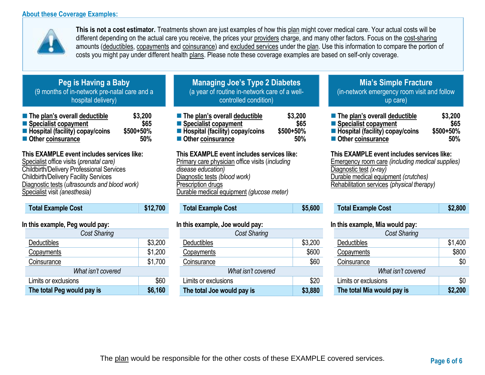## **About these Coverage Examples:**



**This is not a cost estimator.** Treatments shown are just examples of how this plan might cover medical care. Your actual costs will be different depending on the actual care you receive, the prices your providers charge, and many other factors. Focus on the cost-sharing amounts (deductibles, copayments and coinsurance) and excluded services under the plan. Use this information to compare the portion of costs you might pay under different health plans. Please note these coverage examples are based on self-only coverage.

# **Peg is Having a Baby** (9 months of in-network pre-natal care and a hospital delivery)

| The plan's overall deductible     | \$3,200   |
|-----------------------------------|-----------|
| ■ Specialist copayment            | \$65      |
| ■ Hospital (facility) copay/coins | \$500+50% |
| Other coinsurance                 | 50%       |

# **This EXAMPLE event includes services like:**

Specialist office visits (*prenatal care)* Childbirth/Delivery Professional Services Childbirth/Delivery Facility Services Diagnostic tests (*ultrasounds and blood work)* Specialist visit *(anesthesia)* 

| <b>Total Example Cost</b> | \$12,700 |
|---------------------------|----------|
|                           |          |

## **In this example, Peg would pay:**

| <b>Cost Sharing</b>        |         |
|----------------------------|---------|
| Deductibles                | \$3,200 |
| Copayments                 | \$1,200 |
| Coinsurance                | \$1,700 |
| What isn't covered         |         |
| Limits or exclusions       | \$60    |
| The total Peg would pay is | \$6,160 |

# **Managing Joe's Type 2 Diabetes** (a year of routine in-network care of a wellcontrolled condition)

| The plan's overall deductible            | \$3,200   |
|------------------------------------------|-----------|
| ■ Specialist copayment                   | \$65      |
| <b>E</b> Hospital (facility) copay/coins | \$500+50% |
| Other coinsurance                        | 50%       |

## **This EXAMPLE event includes services like:**

Primary care physician office visits (*including disease education)* Diagnostic tests *(blood work)* Prescription drugs Durable medical equipment *(glucose meter)* 

# **Total Example Cost \$5,600**

### **In this example, Joe would pay:**

| Cost Sharing               |         |
|----------------------------|---------|
| <b>Deductibles</b>         | \$3,200 |
| Copayments                 | \$600   |
| Coinsurance                | \$60    |
| What isn't covered         |         |
| Limits or exclusions       | \$20    |
| The total Joe would pay is | \$3,880 |

# **Mia's Simple Fracture** (in-network emergency room visit and follow up care)

| ■ The plan's overall deductible                | \$3,200     |
|------------------------------------------------|-------------|
| ■ Specialist copayment                         | \$65        |
| $\blacksquare$ Hospital (facility) copay/coins | $$500+50\%$ |
| ■ Other coinsurance                            | 50%         |

### **This EXAMPLE event includes services like:**

Emergency room care *(including medical supplies)* Diagnostic test *(x-ray)* Durable medical equipment *(crutches)* Rehabilitation services *(physical therapy)*

| <b>Total Example Cost</b> | \$2,800 |
|---------------------------|---------|
|---------------------------|---------|

### **In this example, Mia would pay:**

| <b>Cost Sharing</b>        |         |  |
|----------------------------|---------|--|
| Deductibles                | \$1,400 |  |
| Copayments                 | \$800   |  |
| Coinsurance                | \$0     |  |
| What isn't covered         |         |  |
| Limits or exclusions       | \$0     |  |
| The total Mia would pay is | \$2,200 |  |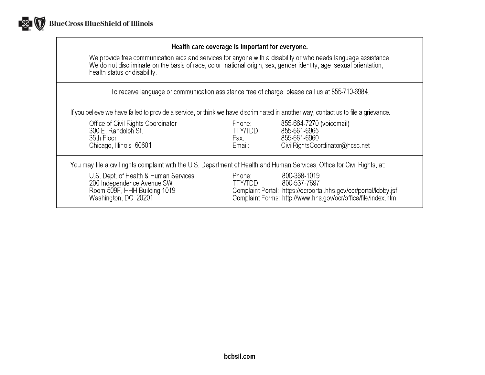

## Health care coverage is important for everyone.

We provide free communication aids and services for anyone with a disability or who needs language assistance.<br>We do not discriminate on the basis of race, color, national origin, sex, gender identity, age, sexual orientat health status or disability.

To receive language or communication assistance free of charge, please call us at 855-710-6984.

If you believe we have failed to provide a service, or think we have discriminated in another way, contact us to file a grievance.

| Office of Civil Rights Coordinator<br>300 E. Randolph St.<br>35th Floor<br>Chicago, Illinois 60601                          | Phone:<br>TTY/TDD:<br>Fax:<br>Email: | 855-664-7270 (voicemail)<br>855-661-6965<br>855-661-6960<br>CivilRightsCoordinator@hcsc.net                                                                        |
|-----------------------------------------------------------------------------------------------------------------------------|--------------------------------------|--------------------------------------------------------------------------------------------------------------------------------------------------------------------|
| You may file a civil rights complaint with the U.S. Department of Health and Human Services, Office for Civil Rights, at:   |                                      |                                                                                                                                                                    |
| U.S. Dept. of Health & Human Services<br>200 Independence Avenue SW<br>Room 509F, HHH Building 1019<br>Washington, DC 20201 | Phone:<br>TTY/TDD:                   | 800-368-1019<br>800-537-7697<br>Complaint Portal: https://ocrportal.hhs.gov/ocr/portal/lobby.jsf<br>Complaint Forms: http://www.hhs.gov/ocr/office/file/index.html |